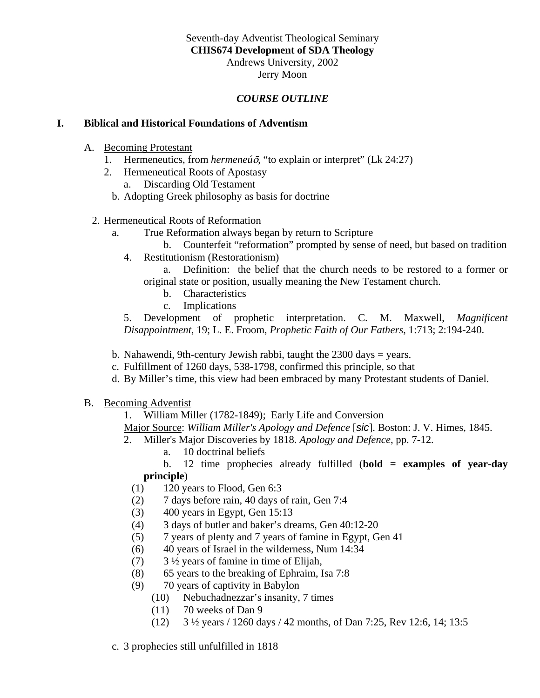Seventh-day Adventist Theological Seminary **CHIS674 Development of SDA Theology** Andrews University, 2002 Jerry Moon

# *COURSE OUTLINE*

### **I. Biblical and Historical Foundations of Adventism**

- A. Becoming Protestant
	- 1. Hermeneutics, from *hermeneúo*, "to explain or interpret" (Lk 24:27)
	- 2. Hermeneutical Roots of Apostasy a. Discarding Old Testament
		- b. Adopting Greek philosophy as basis for doctrine
	- 2. Hermeneutical Roots of Reformation
		- a. True Reformation always began by return to Scripture
			- b. Counterfeit "reformation" prompted by sense of need, but based on tradition
			- 4. Restitutionism (Restorationism)

 a. Definition: the belief that the church needs to be restored to a former or original state or position, usually meaning the New Testament church.

- b. Characteristics
- c. Implications

 5. Development of prophetic interpretation. C. M. Maxwell, *Magnificent Disappointment*, 19; L. E. Froom, *Prophetic Faith of Our Fathers*, 1:713; 2:194-240.

- b. Nahawendi, 9th-century Jewish rabbi, taught the 2300 days = years.
- c. Fulfillment of 1260 days, 538-1798, confirmed this principle, so that
- d. By Miller's time, this view had been embraced by many Protestant students of Daniel.
- B. Becoming Adventist
	- 1. William Miller (1782-1849); Early Life and Conversion

Major Source: *William Miller's Apology and Defence* [*sic*]. Boston: J. V. Himes, 1845.

- 2. Miller's Major Discoveries by 1818. *Apology and Defence*, pp. 7-12.
	- a. 10 doctrinal beliefs

 b. 12 time prophecies already fulfilled (**bold = examples of year-day principle**)

- (1) 120 years to Flood, Gen 6:3
- (2) 7 days before rain, 40 days of rain, Gen 7:4
- (3) 400 years in Egypt, Gen 15:13
- (4) 3 days of butler and baker's dreams, Gen 40:12-20
- (5) 7 years of plenty and 7 years of famine in Egypt, Gen 41
- (6) 40 years of Israel in the wilderness, Num 14:34
- (7) 3 ½ years of famine in time of Elijah,
- (8) 65 years to the breaking of Ephraim, Isa 7:8
- (9) 70 years of captivity in Babylon
	- (10) Nebuchadnezzar's insanity, 7 times
	- (11) 70 weeks of Dan 9
	- (12) 3 ½ years / 1260 days / 42 months, of Dan 7:25, Rev 12:6, 14; 13:5
- c. 3 prophecies still unfulfilled in 1818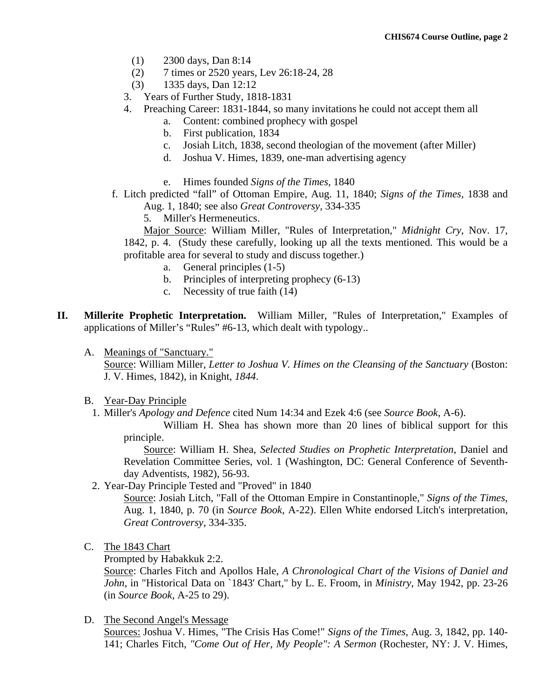- (1) 2300 days, Dan 8:14
- (2) 7 times or 2520 years, Lev 26:18-24, 28
- (3) 1335 days, Dan 12:12
- 3. Years of Further Study, 1818-1831
- 4. Preaching Career: 1831-1844, so many invitations he could not accept them all
	- a. Content: combined prophecy with gospel
	- b. First publication, 1834
	- c. Josiah Litch, 1838, second theologian of the movement (after Miller)
	- d. Joshua V. Himes, 1839, one-man advertising agency
	- e. Himes founded *Signs of the Times,* 1840
- f. Litch predicted "fall" of Ottoman Empire, Aug. 11, 1840; *Signs of the Times,* 1838 and Aug. 1, 1840; see also *Great Controversy*, 334-335

5. Miller's Hermeneutics.

 Major Source: William Miller, "Rules of Interpretation," *Midnight Cry*, Nov. 17, 1842, p. 4. (Study these carefully, looking up all the texts mentioned. This would be a profitable area for several to study and discuss together.)

- a. General principles (1-5)
- b. Principles of interpreting prophecy (6-13)
- c. Necessity of true faith (14)
- **II. Millerite Prophetic Interpretation.** William Miller, "Rules of Interpretation," Examples of applications of Miller's "Rules" #6-13, which dealt with typology..
	- A. Meanings of "Sanctuary." Source: William Miller, *Letter to Joshua V. Himes on the Cleansing of the Sanctuary* (Boston: J. V. Himes, 1842), in Knight, *1844*.
	- B. Year-Day Principle
		- 1. Miller's *Apology and Defence* cited Num 14:34 and Ezek 4:6 (see *Source Book*, A-6).

 William H. Shea has shown more than 20 lines of biblical support for this principle.

 Source: William H. Shea, *Selected Studies on Prophetic Interpretation*, Daniel and Revelation Committee Series, vol. 1 (Washington, DC: General Conference of Seventhday Adventists, 1982), 56-93.

2. Year-Day Principle Tested and "Proved" in 1840

Source: Josiah Litch, "Fall of the Ottoman Empire in Constantinople," *Signs of the Times*, Aug. 1, 1840, p. 70 (in *Source Book*, A-22). Ellen White endorsed Litch's interpretation, *Great Controversy*, 334-335.

C. The 1843 Chart

Prompted by Habakkuk 2:2.

 Source: Charles Fitch and Apollos Hale, *A Chronological Chart of the Visions of Daniel and John*, in "Historical Data on `1843' Chart," by L. E. Froom, in *Ministry*, May 1942, pp. 23-26 (in *Source Book*, A-25 to 29).

D. The Second Angel's Message

 Sources: Joshua V. Himes, "The Crisis Has Come!" *Signs of the Times*, Aug. 3, 1842, pp. 140- 141; Charles Fitch, *"Come Out of Her, My People": A Sermon* (Rochester, NY: J. V. Himes,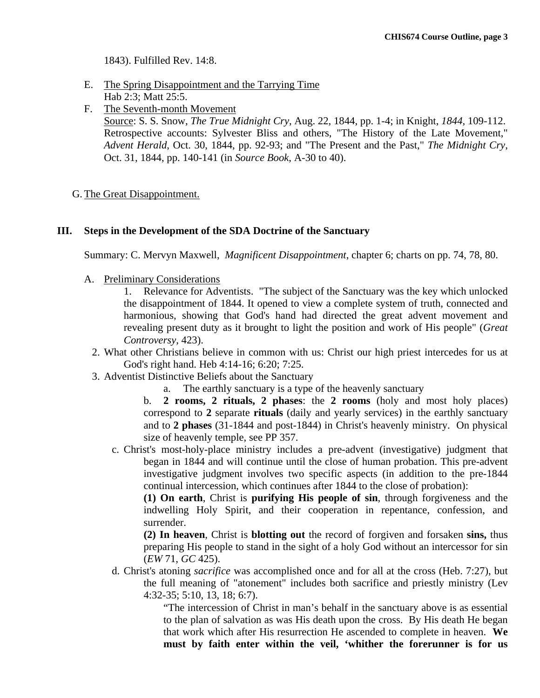1843). Fulfilled Rev. 14:8.

- E. The Spring Disappointment and the Tarrying Time Hab 2:3; Matt 25:5.
- F. The Seventh-month Movement

Source: S. S. Snow, *The True Midnight Cry*, Aug. 22, 1844, pp. 1-4; in Knight, *1844*, 109-112. Retrospective accounts: Sylvester Bliss and others, "The History of the Late Movement," *Advent Herald*, Oct. 30, 1844, pp. 92-93; and "The Present and the Past," *The Midnight Cry*, Oct. 31, 1844, pp. 140-141 (in *Source Book*, A-30 to 40).

G. The Great Disappointment.

#### **III. Steps in the Development of the SDA Doctrine of the Sanctuary**

Summary: C. Mervyn Maxwell, *Magnificent Disappointment*, chapter 6; charts on pp. 74, 78, 80.

A. Preliminary Considerations

 1. Relevance for Adventists. "The subject of the Sanctuary was the key which unlocked the disappointment of 1844. It opened to view a complete system of truth, connected and harmonious, showing that God's hand had directed the great advent movement and revealing present duty as it brought to light the position and work of His people" (*Great Controversy*, 423).

- 2. What other Christians believe in common with us: Christ our high priest intercedes for us at God's right hand. Heb 4:14-16; 6:20; 7:25.
- 3. Adventist Distinctive Beliefs about the Sanctuary

a. The earthly sanctuary is a type of the heavenly sanctuary

 b. **2 rooms, 2 rituals, 2 phases**: the **2 rooms** (holy and most holy places) correspond to **2** separate **rituals** (daily and yearly services) in the earthly sanctuary and to **2 phases** (31-1844 and post-1844) in Christ's heavenly ministry. On physical size of heavenly temple, see PP 357.

c. Christ's most-holy-place ministry includes a pre-advent (investigative) judgment that began in 1844 and will continue until the close of human probation. This pre-advent investigative judgment involves two specific aspects (in addition to the pre-1844 continual intercession, which continues after 1844 to the close of probation):

**(1) On earth**, Christ is **purifying His people of sin**, through forgiveness and the indwelling Holy Spirit, and their cooperation in repentance, confession, and surrender.

**(2) In heaven**, Christ is **blotting out** the record of forgiven and forsaken **sins,** thus preparing His people to stand in the sight of a holy God without an intercessor for sin (*EW* 71, *GC* 425).

d. Christ's atoning *sacrifice* was accomplished once and for all at the cross (Heb. 7:27), but the full meaning of "atonement" includes both sacrifice and priestly ministry (Lev 4:32-35; 5:10, 13, 18; 6:7).

"The intercession of Christ in man's behalf in the sanctuary above is as essential to the plan of salvation as was His death upon the cross. By His death He began that work which after His resurrection He ascended to complete in heaven. **We must by faith enter within the veil, 'whither the forerunner is for us**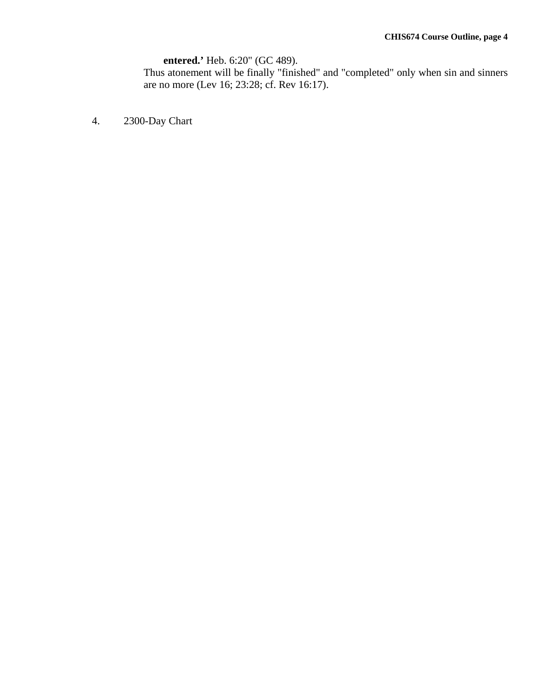**entered.'** Heb. 6:20" (GC 489).

Thus atonement will be finally "finished" and "completed" only when sin and sinners are no more (Lev 16; 23:28; cf. Rev 16:17).

4. 2300-Day Chart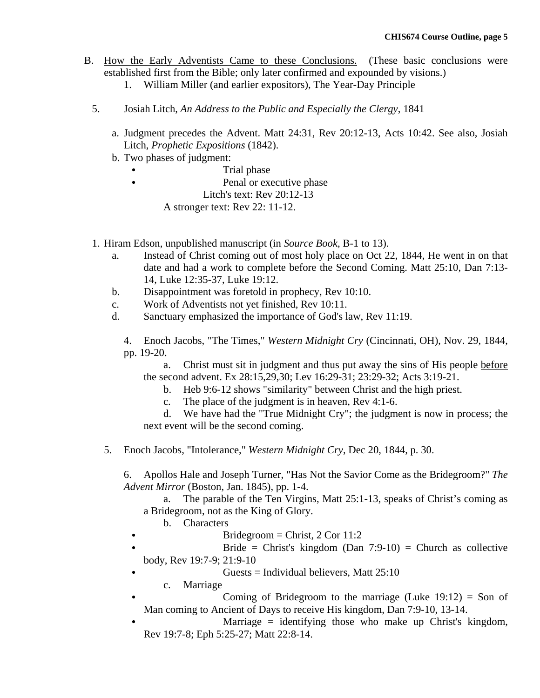- B. How the Early Adventists Came to these Conclusions. (These basic conclusions were established first from the Bible; only later confirmed and expounded by visions.)
	- 1. William Miller (and earlier expositors), The Year-Day Principle
	- 5. Josiah Litch, *An Address to the Public and Especially the Clergy*, 1841
		- a. Judgment precedes the Advent. Matt 24:31, Rev 20:12-13, Acts 10:42. See also, Josiah Litch, *Prophetic Expositions* (1842).
		- b. Two phases of judgment:
			- Trial phase • Penal or executive phase Litch's text: Rev 20:12-13 A stronger text: Rev 22: 11-12.
	- 1. Hiram Edson, unpublished manuscript (in *Source Book*, B-1 to 13).
		- a. Instead of Christ coming out of most holy place on Oct 22, 1844, He went in on that date and had a work to complete before the Second Coming. Matt 25:10, Dan 7:13- 14, Luke 12:35-37, Luke 19:12.
		- b. Disappointment was foretold in prophecy, Rev 10:10.
		- c. Work of Adventists not yet finished, Rev 10:11.
		- d. Sanctuary emphasized the importance of God's law, Rev 11:19.
			- 4. Enoch Jacobs, "The Times," *Western Midnight Cry* (Cincinnati, OH), Nov. 29, 1844, pp. 19-20.

 a. Christ must sit in judgment and thus put away the sins of His people before the second advent. Ex 28:15,29,30; Lev 16:29-31; 23:29-32; Acts 3:19-21.

- b. Heb 9:6-12 shows "similarity" between Christ and the high priest.
- c. The place of the judgment is in heaven, Rev 4:1-6.

 d. We have had the "True Midnight Cry"; the judgment is now in process; the next event will be the second coming.

5. Enoch Jacobs, "Intolerance," *Western Midnight Cry*, Dec 20, 1844, p. 30.

 6. Apollos Hale and Joseph Turner, "Has Not the Savior Come as the Bridegroom?" *The Advent Mirror* (Boston, Jan. 1845), pp. 1-4.

 a. The parable of the Ten Virgins, Matt 25:1-13, speaks of Christ's coming as a Bridegroom, not as the King of Glory.

b. Characters

- Bridegroom = Christ,  $2$  Cor  $11:2$
- Bride = Christ's kingdom (Dan 7:9-10) = Church as collective body, Rev 19:7-9; 21:9-10
- Guests = Individual believers, Matt  $25:10$

c. Marriage

Coming of Bridegroom to the marriage (Luke  $19:12$ ) = Son of Man coming to Ancient of Days to receive His kingdom, Dan 7:9-10, 13-14.

Marriage  $=$  identifying those who make up Christ's kingdom, Rev 19:7-8; Eph 5:25-27; Matt 22:8-14.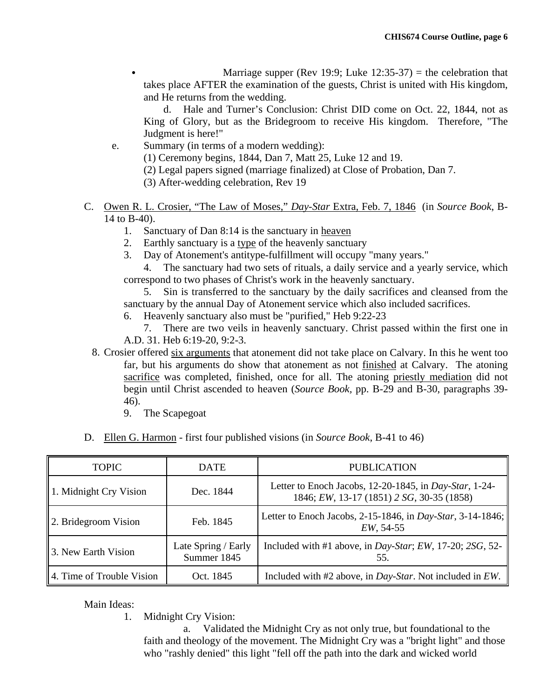Marriage supper (Rev 19:9; Luke  $12:35-37$ ) = the celebration that takes place AFTER the examination of the guests, Christ is united with His kingdom, and He returns from the wedding.

 d. Hale and Turner's Conclusion: Christ DID come on Oct. 22, 1844, not as King of Glory, but as the Bridegroom to receive His kingdom. Therefore, "The Judgment is here!"

- e. Summary (in terms of a modern wedding):
	- (1) Ceremony begins, 1844, Dan 7, Matt 25, Luke 12 and 19.
	- (2) Legal papers signed (marriage finalized) at Close of Probation, Dan 7.
	- (3) After-wedding celebration, Rev 19
- C. Owen R. L. Crosier, "The Law of Moses," *Day-Star* Extra, Feb. 7, 1846 (in *Source Book*, B-14 to B-40).
	- 1. Sanctuary of Dan 8:14 is the sanctuary in heaven
	- 2. Earthly sanctuary is a type of the heavenly sanctuary
	- 3. Day of Atonement's antitype-fulfillment will occupy "many years."

 4. The sanctuary had two sets of rituals, a daily service and a yearly service, which correspond to two phases of Christ's work in the heavenly sanctuary.

 5. Sin is transferred to the sanctuary by the daily sacrifices and cleansed from the sanctuary by the annual Day of Atonement service which also included sacrifices.

6. Heavenly sanctuary also must be "purified," Heb 9:22-23

 7. There are two veils in heavenly sanctuary. Christ passed within the first one in A.D. 31. Heb 6:19-20, 9:2-3.

- 8. Crosier offered six arguments that atonement did not take place on Calvary. In this he went too far, but his arguments do show that atonement as not finished at Calvary. The atoning sacrifice was completed, finished, once for all. The atoning priestly mediation did not begin until Christ ascended to heaven (*Source Book,* pp. B-29 and B-30, paragraphs 39- 46).
	- 9. The Scapegoat
- D. Ellen G. Harmon first four published visions (in *Source Book*, B-41 to 46)

| <b>TOPIC</b>              | <b>DATE</b>                        | <b>PUBLICATION</b>                                                                                  |
|---------------------------|------------------------------------|-----------------------------------------------------------------------------------------------------|
| 1. Midnight Cry Vision    | Dec. 1844                          | Letter to Enoch Jacobs, 12-20-1845, in Day-Star, 1-24-<br>1846; EW, 13-17 (1851) 2 SG, 30-35 (1858) |
| 2. Bridegroom Vision      | Feb. 1845                          | Letter to Enoch Jacobs, 2-15-1846, in Day-Star, 3-14-1846;<br>EW, 54-55                             |
| 3. New Earth Vision       | Late Spring / Early<br>Summer 1845 | Included with #1 above, in Day-Star; EW, 17-20; 2SG, 52-<br>55.                                     |
| 4. Time of Trouble Vision | Oct. 1845                          | Included with #2 above, in <i>Day-Star</i> . Not included in <i>EW</i> .                            |

Main Ideas:

1. Midnight Cry Vision:

 a. Validated the Midnight Cry as not only true, but foundational to the faith and theology of the movement. The Midnight Cry was a "bright light" and those who "rashly denied" this light "fell off the path into the dark and wicked world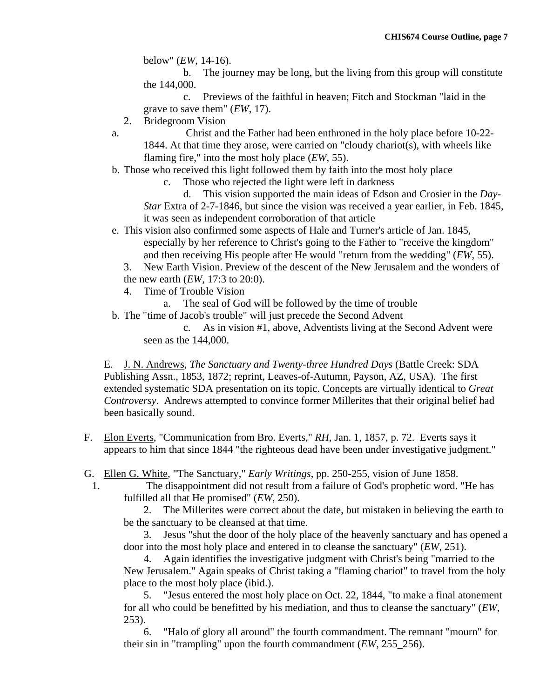below" (*EW*, 14-16).

 b. The journey may be long, but the living from this group will constitute the 144,000.

 c. Previews of the faithful in heaven; Fitch and Stockman "laid in the grave to save them" (*EW*, 17).

2. Bridegroom Vision

a. Christ and the Father had been enthroned in the holy place before 10-22- 1844. At that time they arose, were carried on "cloudy chariot(s), with wheels like flaming fire," into the most holy place (*EW*, 55).

- b. Those who received this light followed them by faith into the most holy place
	- c. Those who rejected the light were left in darkness

 d. This vision supported the main ideas of Edson and Crosier in the *Day-Star* Extra of 2-7-1846, but since the vision was received a year earlier, in Feb. 1845, it was seen as independent corroboration of that article

e. This vision also confirmed some aspects of Hale and Turner's article of Jan. 1845, especially by her reference to Christ's going to the Father to "receive the kingdom" and then receiving His people after He would "return from the wedding" (*EW*, 55).

 3. New Earth Vision. Preview of the descent of the New Jerusalem and the wonders of the new earth (*EW*, 17:3 to 20:0).

- 4. Time of Trouble Vision
	- a. The seal of God will be followed by the time of trouble
- b. The "time of Jacob's trouble" will just precede the Second Advent

 c. As in vision #1, above, Adventists living at the Second Advent were seen as the 144,000.

 E. J. N. Andrews, *The Sanctuary and Twenty-three Hundred Days* (Battle Creek: SDA Publishing Assn., 1853, 1872; reprint, Leaves-of-Autumn, Payson, AZ, USA). The first extended systematic SDA presentation on its topic. Concepts are virtually identical to *Great Controversy*. Andrews attempted to convince former Millerites that their original belief had been basically sound.

- F. Elon Everts, "Communication from Bro. Everts," *RH*, Jan. 1, 1857, p. 72. Everts says it appears to him that since 1844 "the righteous dead have been under investigative judgment."
- G. Ellen G. White, "The Sanctuary," *Early Writings*, pp. 250-255, vision of June 1858.
	- 1. The disappointment did not result from a failure of God's prophetic word. "He has fulfilled all that He promised" (*EW*, 250).

 2. The Millerites were correct about the date, but mistaken in believing the earth to be the sanctuary to be cleansed at that time.

 3. Jesus "shut the door of the holy place of the heavenly sanctuary and has opened a door into the most holy place and entered in to cleanse the sanctuary" (*EW*, 251).

 4. Again identifies the investigative judgment with Christ's being "married to the New Jerusalem." Again speaks of Christ taking a "flaming chariot" to travel from the holy place to the most holy place (ibid.).

 5. "Jesus entered the most holy place on Oct. 22, 1844, "to make a final atonement for all who could be benefitted by his mediation, and thus to cleanse the sanctuary" (*EW*, 253).

 6. "Halo of glory all around" the fourth commandment. The remnant "mourn" for their sin in "trampling" upon the fourth commandment (*EW*, 255\_256).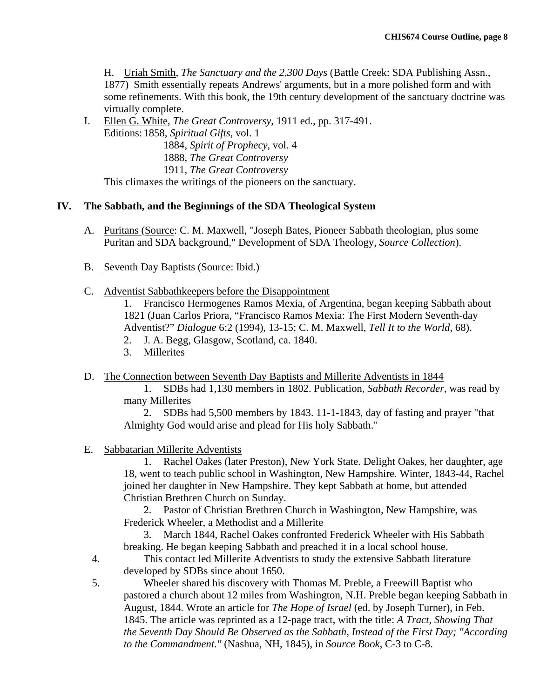H. Uriah Smith, *The Sanctuary and the 2,300 Days* (Battle Creek: SDA Publishing Assn., 1877) Smith essentially repeats Andrews' arguments, but in a more polished form and with some refinements. With this book, the 19th century development of the sanctuary doctrine was virtually complete.

I. Ellen G. White, *The Great Controversy*, 1911 ed., pp. 317-491.

Editions: 1858, *Spiritual Gifts,* vol. 1

1884, *Spirit of Prophecy,* vol. 4

1888, *The Great Controversy*

1911, *The Great Controversy*

This climaxes the writings of the pioneers on the sanctuary.

### **IV. The Sabbath, and the Beginnings of the SDA Theological System**

- A. Puritans (Source: C. M. Maxwell, "Joseph Bates, Pioneer Sabbath theologian, plus some Puritan and SDA background," Development of SDA Theology, *Source Collection*).
- B. Seventh Day Baptists (Source: Ibid.)
- C. Adventist Sabbathkeepers before the Disappointment

 1. Francisco Hermogenes Ramos Mexia, of Argentina, began keeping Sabbath about 1821 (Juan Carlos Priora, "Francisco Ramos Mexia: The First Modern Seventh-day Adventist?" *Dialogue* 6:2 (1994), 13-15; C. M. Maxwell, *Tell It to the World*, 68).

- 2. J. A. Begg, Glasgow, Scotland, ca. 1840.
- 3. Millerites
- D. The Connection between Seventh Day Baptists and Millerite Adventists in 1844

 1. SDBs had 1,130 members in 1802. Publication, *Sabbath Recorder*, was read by many Millerites

 2. SDBs had 5,500 members by 1843. 11-1-1843, day of fasting and prayer "that Almighty God would arise and plead for His holy Sabbath."

E. Sabbatarian Millerite Adventists

 1. Rachel Oakes (later Preston), New York State. Delight Oakes, her daughter, age 18, went to teach public school in Washington, New Hampshire. Winter, 1843-44, Rachel joined her daughter in New Hampshire. They kept Sabbath at home, but attended Christian Brethren Church on Sunday.

 2. Pastor of Christian Brethren Church in Washington, New Hampshire, was Frederick Wheeler, a Methodist and a Millerite

 3. March 1844, Rachel Oakes confronted Frederick Wheeler with His Sabbath breaking. He began keeping Sabbath and preached it in a local school house.

- 4. This contact led Millerite Adventists to study the extensive Sabbath literature developed by SDBs since about 1650.
- 5. Wheeler shared his discovery with Thomas M. Preble, a Freewill Baptist who pastored a church about 12 miles from Washington, N.H. Preble began keeping Sabbath in August, 1844. Wrote an article for *The Hope of Israel* (ed. by Joseph Turner), in Feb. 1845. The article was reprinted as a 12-page tract, with the title: *A Tract, Showing That the Seventh Day Should Be Observed as the Sabbath, Instead of the First Day; "According to the Commandment."* (Nashua, NH, 1845), in *Source Book*, C-3 to C-8.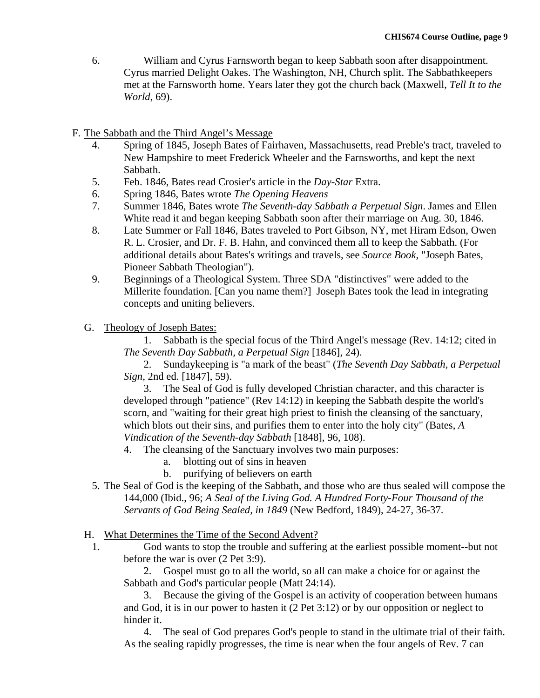- 6. William and Cyrus Farnsworth began to keep Sabbath soon after disappointment. Cyrus married Delight Oakes. The Washington, NH, Church split. The Sabbathkeepers met at the Farnsworth home. Years later they got the church back (Maxwell, *Tell It to the World*, 69).
- F. The Sabbath and the Third Angel's Message
	- 4. Spring of 1845, Joseph Bates of Fairhaven, Massachusetts, read Preble's tract, traveled to New Hampshire to meet Frederick Wheeler and the Farnsworths, and kept the next Sabbath.
	- 5. Feb. 1846, Bates read Crosier's article in the *Day-Star* Extra.
	- 6. Spring 1846, Bates wrote *The Opening Heavens*
	- 7. Summer 1846, Bates wrote *The Seventh-day Sabbath a Perpetual Sign*. James and Ellen White read it and began keeping Sabbath soon after their marriage on Aug. 30, 1846.
	- 8. Late Summer or Fall 1846, Bates traveled to Port Gibson, NY, met Hiram Edson, Owen R. L. Crosier, and Dr. F. B. Hahn, and convinced them all to keep the Sabbath. (For additional details about Bates's writings and travels, see *Source Book*, "Joseph Bates, Pioneer Sabbath Theologian").
	- 9. Beginnings of a Theological System. Three SDA "distinctives" were added to the Millerite foundation. [Can you name them?] Joseph Bates took the lead in integrating concepts and uniting believers.
	- G. Theology of Joseph Bates:

 1. Sabbath is the special focus of the Third Angel's message (Rev. 14:12; cited in *The Seventh Day Sabbath, a Perpetual Sign* [1846], 24).

 2. Sundaykeeping is "a mark of the beast" (*The Seventh Day Sabbath, a Perpetual Sign*, 2nd ed. [1847], 59).

 3. The Seal of God is fully developed Christian character, and this character is developed through "patience" (Rev 14:12) in keeping the Sabbath despite the world's scorn, and "waiting for their great high priest to finish the cleansing of the sanctuary, which blots out their sins, and purifies them to enter into the holy city" (Bates, *A Vindication of the Seventh-day Sabbath* [1848], 96, 108).

- 4. The cleansing of the Sanctuary involves two main purposes:
	- a. blotting out of sins in heaven
	- b. purifying of believers on earth
- 5. The Seal of God is the keeping of the Sabbath, and those who are thus sealed will compose the 144,000 (Ibid., 96; *A Seal of the Living God. A Hundred Forty-Four Thousand of the Servants of God Being Sealed, in 1849* (New Bedford, 1849), 24-27, 36-37.
- H. What Determines the Time of the Second Advent?
	- 1. God wants to stop the trouble and suffering at the earliest possible moment--but not before the war is over (2 Pet 3:9).

 2. Gospel must go to all the world, so all can make a choice for or against the Sabbath and God's particular people (Matt 24:14).

 3. Because the giving of the Gospel is an activity of cooperation between humans and God, it is in our power to hasten it (2 Pet 3:12) or by our opposition or neglect to hinder it.

 4. The seal of God prepares God's people to stand in the ultimate trial of their faith. As the sealing rapidly progresses, the time is near when the four angels of Rev. 7 can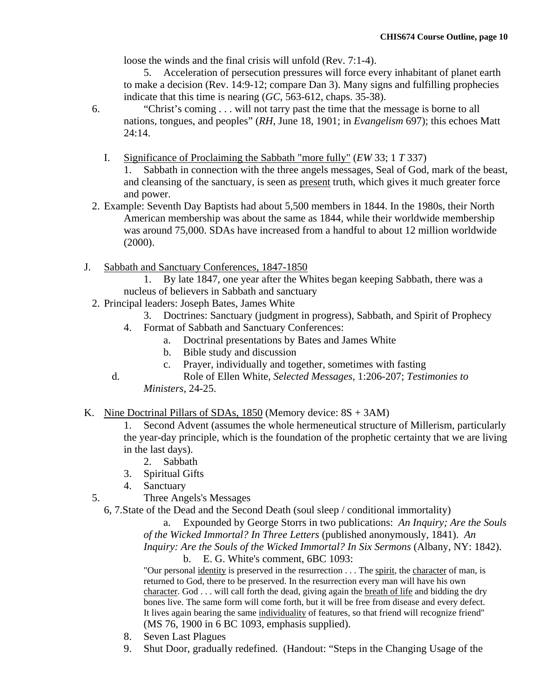loose the winds and the final crisis will unfold (Rev. 7:1-4).

 5. Acceleration of persecution pressures will force every inhabitant of planet earth to make a decision (Rev. 14:9-12; compare Dan 3). Many signs and fulfilling prophecies indicate that this time is nearing (*GC*, 563-612, chaps. 35-38).

- 6. "Christ's coming . . . will not tarry past the time that the message is borne to all nations, tongues, and peoples" (*RH*, June 18, 1901; in *Evangelism* 697); this echoes Matt  $24:14.$ 
	- I. Significance of Proclaiming the Sabbath "more fully" (*EW* 33; 1 *T* 337) 1. Sabbath in connection with the three angels messages, Seal of God, mark of the beast, and cleansing of the sanctuary, is seen as present truth, which gives it much greater force and power.
- 2. Example: Seventh Day Baptists had about 5,500 members in 1844. In the 1980s, their North American membership was about the same as 1844, while their worldwide membership was around 75,000. SDAs have increased from a handful to about 12 million worldwide (2000).
- J. Sabbath and Sanctuary Conferences, 1847-1850
	- 1. By late 1847, one year after the Whites began keeping Sabbath, there was a nucleus of believers in Sabbath and sanctuary
	- 2. Principal leaders: Joseph Bates, James White
		- 3. Doctrines: Sanctuary (judgment in progress), Sabbath, and Spirit of Prophecy
		- 4. Format of Sabbath and Sanctuary Conferences:
			- a. Doctrinal presentations by Bates and James White
			- b. Bible study and discussion
			- c. Prayer, individually and together, sometimes with fasting
		- d. Role of Ellen White, *Selected Messages*, 1:206-207; *Testimonies to Ministers*, 24-25.
- K. Nine Doctrinal Pillars of SDAs, 1850 (Memory device: 8S + 3AM)

 1. Second Advent (assumes the whole hermeneutical structure of Millerism, particularly the year-day principle, which is the foundation of the prophetic certainty that we are living in the last days).

- 2. Sabbath
- 3. Spiritual Gifts
- 4. Sanctuary
- 5. Three Angels's Messages
	- 6, 7.State of the Dead and the Second Death (soul sleep / conditional immortality)

 a. Expounded by George Storrs in two publications: *An Inquiry; Are the Souls of the Wicked Immortal? In Three Letters* (published anonymously, 1841). *An Inquiry: Are the Souls of the Wicked Immortal? In Six Sermons* (Albany, NY: 1842).

 b. E. G. White's comment, 6BC 1093: "Our personal identity is preserved in the resurrection . . . The spirit, the character of man, is returned to God, there to be preserved. In the resurrection every man will have his own character. God . . . will call forth the dead, giving again the breath of life and bidding the dry bones live. The same form will come forth, but it will be free from disease and every defect. It lives again bearing the same individuality of features, so that friend will recognize friend" (MS 76, 1900 in 6 BC 1093, emphasis supplied).

- 8. Seven Last Plagues
- 9. Shut Door, gradually redefined. (Handout: "Steps in the Changing Usage of the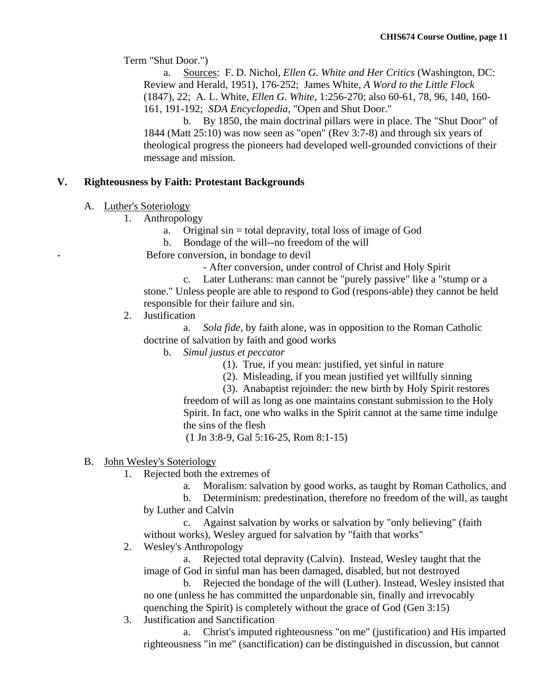Term "Shut Door.")

 a. Sources: F. D. Nichol, *Ellen G. White and Her Critics* (Washington, DC: Review and Herald, 1951), 176-252; James White, *A Word to the Little Flock* (1847), 22; A. L. White, *Ellen G. White*, 1:256-270; also 60-61, 78, 96, 140, 160- 161, 191-192; *SDA Encyclopedia*, "Open and Shut Door."

 b. By 1850, the main doctrinal pillars were in place. The "Shut Door" of 1844 (Matt 25:10) was now seen as "open" (Rev 3:7-8) and through six years of theological progress the pioneers had developed well-grounded convictions of their message and mission.

# **V. Righteousness by Faith: Protestant Backgrounds**

- A. Luther's Soteriology
	- 1. Anthropology
		- a. Original  $sin = total$  depravity, total loss of image of God
		- b. Bondage of the will--no freedom of the will

Before conversion, in bondage to devil

- After conversion, under control of Christ and Holy Spirit

 c. Later Lutherans: man cannot be "purely passive" like a "stump or a stone." Unless people are able to respond to God (respons-able) they cannot be held responsible for their failure and sin.

2. Justification

 a. *Sola fide*, by faith alone, was in opposition to the Roman Catholic doctrine of salvation by faith and good works

b. *Simul justus et peccator*

- (1). True, if you mean: justified, yet sinful in nature
- (2). Misleading, if you mean justified yet willfully sinning
- (3). Anabaptist rejoinder: the new birth by Holy Spirit restores

freedom of will as long as one maintains constant submission to the Holy Spirit. In fact, one who walks in the Spirit cannot at the same time indulge the sins of the flesh

(1 Jn 3:8-9, Gal 5:16-25, Rom 8:1-15)

# B. John Wesley's Soteriology

- 1. Rejected both the extremes of
	- a. Moralism: salvation by good works, as taught by Roman Catholics, and
	- b. Determinism: predestination, therefore no freedom of the will, as taught by Luther and Calvin
		- c. Against salvation by works or salvation by "only believing" (faith
	- without works), Wesley argued for salvation by "faith that works"

2. Wesley's Anthropology

 a. Rejected total depravity (Calvin). Instead, Wesley taught that the image of God in sinful man has been damaged, disabled, but not destroyed

 b. Rejected the bondage of the will (Luther). Instead, Wesley insisted that no one (unless he has committed the unpardonable sin, finally and irrevocably quenching the Spirit) is completely without the grace of God (Gen 3:15)

3. Justification and Sanctification

 a. Christ's imputed righteousness "on me" (justification) and His imparted righteousness "in me" (sanctification) can be distinguished in discussion, but cannot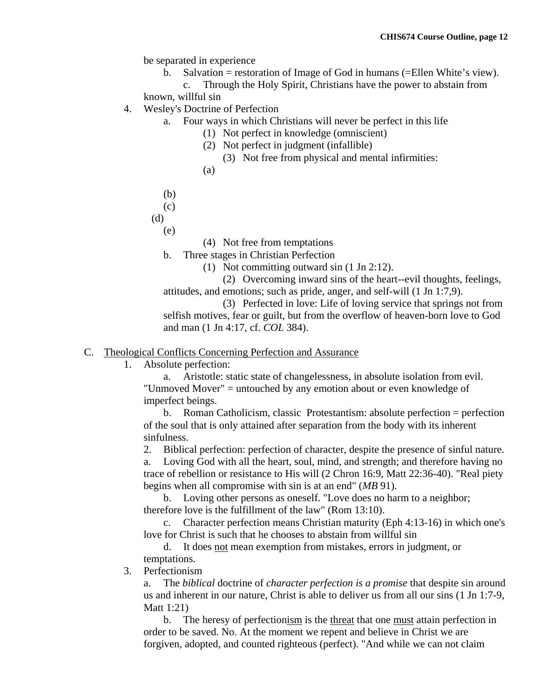be separated in experience

 b. Salvation = restoration of Image of God in humans (=Ellen White's view). c. Through the Holy Spirit, Christians have the power to abstain from

known, willful sin

- 4. Wesley's Doctrine of Perfection
	- a. Four ways in which Christians will never be perfect in this life
		- (1) Not perfect in knowledge (omniscient)
		- (2) Not perfect in judgment (infallible)
			- (3) Not free from physical and mental infirmities:
		- (a)
	- (b)

(c)

(d)

(e)

(4) Not free from temptations

b. Three stages in Christian Perfection

(1) Not committing outward sin (1 Jn 2:12).

 (2) Overcoming inward sins of the heart--evil thoughts, feelings, attitudes, and emotions; such as pride, anger, and self-will (1 Jn 1:7,9).

 (3) Perfected in love: Life of loving service that springs not from selfish motives, fear or guilt, but from the overflow of heaven-born love to God and man (1 Jn 4:17, cf. *COL* 384).

# C. Theological Conflicts Concerning Perfection and Assurance

1. Absolute perfection:

 a. Aristotle: static state of changelessness, in absolute isolation from evil. "Unmoved Mover" = untouched by any emotion about or even knowledge of imperfect beings.

 b. Roman Catholicism, classic Protestantism: absolute perfection = perfection of the soul that is only attained after separation from the body with its inherent sinfulness.

2. Biblical perfection: perfection of character, despite the presence of sinful nature.

 a. Loving God with all the heart, soul, mind, and strength; and therefore having no trace of rebellion or resistance to His will (2 Chron 16:9, Matt 22:36-40). "Real piety begins when all compromise with sin is at an end" (*MB* 91).

 b. Loving other persons as oneself. "Love does no harm to a neighbor; therefore love is the fulfillment of the law" (Rom 13:10).

 c. Character perfection means Christian maturity (Eph 4:13-16) in which one's love for Christ is such that he chooses to abstain from willful sin

 d. It does not mean exemption from mistakes, errors in judgment, or temptations.

3. Perfectionism

The *biblical* doctrine of *character perfection is a promise* that despite sin around us and inherent in our nature, Christ is able to deliver us from all our sins (1 Jn 1:7-9, Matt 1:21)

b. The heresy of perfectionism is the threat that one must attain perfection in order to be saved. No. At the moment we repent and believe in Christ we are forgiven, adopted, and counted righteous (perfect). "And while we can not claim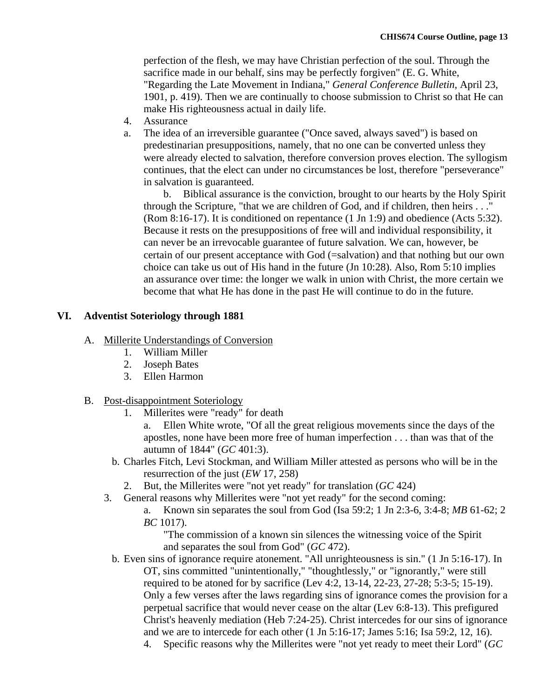perfection of the flesh, we may have Christian perfection of the soul. Through the sacrifice made in our behalf, sins may be perfectly forgiven" (E. G. White, "Regarding the Late Movement in Indiana," *General Conference Bulletin*, April 23, 1901, p. 419). Then we are continually to choose submission to Christ so that He can make His righteousness actual in daily life.

- 4. Assurance
- a. The idea of an irreversible guarantee ("Once saved, always saved") is based on predestinarian presuppositions, namely, that no one can be converted unless they were already elected to salvation, therefore conversion proves election. The syllogism continues, that the elect can under no circumstances be lost, therefore "perseverance" in salvation is guaranteed.

 b. Biblical assurance is the conviction, brought to our hearts by the Holy Spirit through the Scripture, "that we are children of God, and if children, then heirs . . ." (Rom 8:16-17). It is conditioned on repentance (1 Jn 1:9) and obedience (Acts 5:32). Because it rests on the presuppositions of free will and individual responsibility, it can never be an irrevocable guarantee of future salvation. We can, however, be certain of our present acceptance with God (=salvation) and that nothing but our own choice can take us out of His hand in the future (Jn 10:28). Also, Rom 5:10 implies an assurance over time: the longer we walk in union with Christ, the more certain we become that what He has done in the past He will continue to do in the future.

# **VI. Adventist Soteriology through 1881**

- A. Millerite Understandings of Conversion
	- 1. William Miller
	- 2. Joseph Bates
	- 3. Ellen Harmon
- B. Post-disappointment Soteriology
	- 1. Millerites were "ready" for death

 a. Ellen White wrote, "Of all the great religious movements since the days of the apostles, none have been more free of human imperfection . . . than was that of the autumn of 1844" (*GC* 401:3).

- b. Charles Fitch, Levi Stockman, and William Miller attested as persons who will be in the resurrection of the just (*EW* 17, 258)
	- 2. But, the Millerites were "not yet ready" for translation (*GC* 424)
- 3. General reasons why Millerites were "not yet ready" for the second coming:
	- a. Known sin separates the soul from God (Isa 59:2; 1 Jn 2:3-6, 3:4-8; *MB* 61-62; 2 *BC* 1017).

"The commission of a known sin silences the witnessing voice of the Spirit and separates the soul from God" (*GC* 472).

- b. Even sins of ignorance require atonement. "All unrighteousness is sin." (1 Jn 5:16-17). In OT, sins committed "unintentionally," "thoughtlessly," or "ignorantly," were still required to be atoned for by sacrifice (Lev 4:2, 13-14, 22-23, 27-28; 5:3-5; 15-19). Only a few verses after the laws regarding sins of ignorance comes the provision for a perpetual sacrifice that would never cease on the altar (Lev 6:8-13). This prefigured Christ's heavenly mediation (Heb 7:24-25). Christ intercedes for our sins of ignorance and we are to intercede for each other (1 Jn 5:16-17; James 5:16; Isa 59:2, 12, 16).
	- 4. Specific reasons why the Millerites were "not yet ready to meet their Lord" (*GC*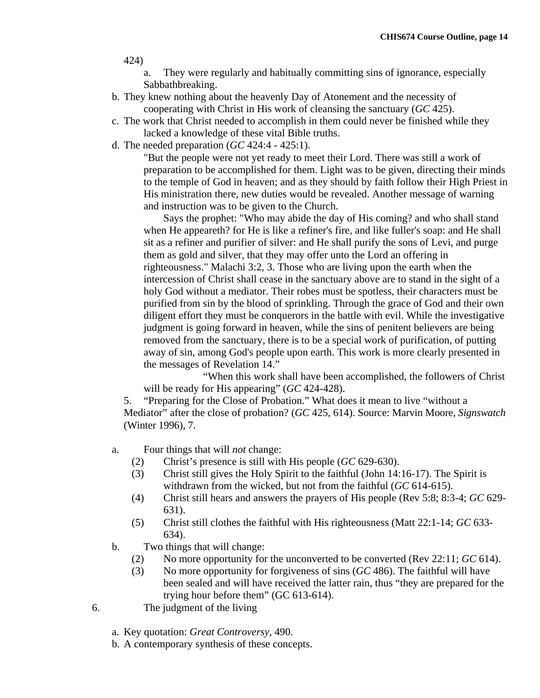424)

- a. They were regularly and habitually committing sins of ignorance, especially Sabbathbreaking.
- b. They knew nothing about the heavenly Day of Atonement and the necessity of cooperating with Christ in His work of cleansing the sanctuary (*GC* 425).
- c. The work that Christ needed to accomplish in them could never be finished while they lacked a knowledge of these vital Bible truths.
- d. The needed preparation (*GC* 424:4 425:1).

"But the people were not yet ready to meet their Lord. There was still a work of preparation to be accomplished for them. Light was to be given, directing their minds to the temple of God in heaven; and as they should by faith follow their High Priest in His ministration there, new duties would be revealed. Another message of warning and instruction was to be given to the Church.

 Says the prophet: "Who may abide the day of His coming? and who shall stand when He appeareth? for He is like a refiner's fire, and like fuller's soap: and He shall sit as a refiner and purifier of silver: and He shall purify the sons of Levi, and purge them as gold and silver, that they may offer unto the Lord an offering in righteousness." Malachi 3:2, 3. Those who are living upon the earth when the intercession of Christ shall cease in the sanctuary above are to stand in the sight of a holy God without a mediator. Their robes must be spotless, their characters must be purified from sin by the blood of sprinkling. Through the grace of God and their own diligent effort they must be conquerors in the battle with evil. While the investigative judgment is going forward in heaven, while the sins of penitent believers are being removed from the sanctuary, there is to be a special work of purification, of putting away of sin, among God's people upon earth. This work is more clearly presented in the messages of Revelation 14."

 "When this work shall have been accomplished, the followers of Christ will be ready for His appearing" (*GC* 424-428).

 5. "Preparing for the Close of Probation." What does it mean to live "without a Mediator" after the close of probation? (*GC* 425, 614). Source: Marvin Moore, *Signswatch* (Winter 1996), 7.

a. Four things that will *not* change:

- (2) Christ's presence is still with His people (*GC* 629-630).
- (3) Christ still gives the Holy Spirit to the faithful (John 14:16-17). The Spirit is withdrawn from the wicked, but not from the faithful (*GC* 614-615).
- (4) Christ still hears and answers the prayers of His people (Rev 5:8; 8:3-4; *GC* 629- 631).
- (5) Christ still clothes the faithful with His righteousness (Matt 22:1-14; *GC* 633- 634).
- b. Two things that will change:
	- (2) No more opportunity for the unconverted to be converted (Rev 22:11; *GC* 614).
	- (3) No more opportunity for forgiveness of sins (*GC* 486). The faithful will have been sealed and will have received the latter rain, thus "they are prepared for the trying hour before them" (GC 613-614).
- 6. The judgment of the living
	- a. Key quotation: *Great Controversy,* 490.
	- b. A contemporary synthesis of these concepts.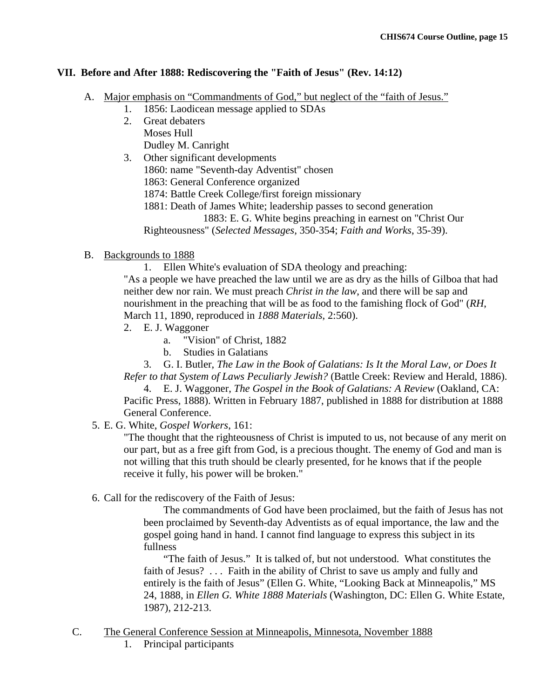# **VII. Before and After 1888: Rediscovering the "Faith of Jesus" (Rev. 14:12)**

- A. Major emphasis on "Commandments of God," but neglect of the "faith of Jesus."
	- 1. 1856: Laodicean message applied to SDAs
		- 2. Great debaters Moses Hull Dudley M. Canright
	- 3. Other significant developments 1860: name "Seventh-day Adventist" chosen 1863: General Conference organized 1874: Battle Creek College/first foreign missionary 1881: Death of James White; leadership passes to second generation 1883: E. G. White begins preaching in earnest on "Christ Our Righteousness" (*Selected Messages,* 350-354; *Faith and Works*, 35-39).

# B. Backgrounds to 1888

1. Ellen White's evaluation of SDA theology and preaching:

"As a people we have preached the law until we are as dry as the hills of Gilboa that had neither dew nor rain. We must preach *Christ in the law*, and there will be sap and nourishment in the preaching that will be as food to the famishing flock of God" (*RH*, March 11, 1890, reproduced in *1888 Materials*, 2:560).

- 2. E. J. Waggoner
	- a. "Vision" of Christ, 1882
	- b. Studies in Galatians

3. G. I. Butler, *The Law in the Book of Galatians: Is It the Moral Law, or Does It* 

*Refer to that System of Laws Peculiarly Jewish?* (Battle Creek: Review and Herald, 1886). 4. E. J. Waggoner, *The Gospel in the Book of Galatians: A Review* (Oakland, CA:

Pacific Press, 1888). Written in February 1887, published in 1888 for distribution at 1888 General Conference.

# 5. E. G. White, *Gospel Workers*, 161:

"The thought that the righteousness of Christ is imputed to us, not because of any merit on our part, but as a free gift from God, is a precious thought. The enemy of God and man is not willing that this truth should be clearly presented, for he knows that if the people receive it fully, his power will be broken."

6. Call for the rediscovery of the Faith of Jesus:

 The commandments of God have been proclaimed, but the faith of Jesus has not been proclaimed by Seventh-day Adventists as of equal importance, the law and the gospel going hand in hand. I cannot find language to express this subject in its fullness

 "The faith of Jesus." It is talked of, but not understood. What constitutes the faith of Jesus? . . . Faith in the ability of Christ to save us amply and fully and entirely is the faith of Jesus" (Ellen G. White, "Looking Back at Minneapolis," MS 24, 1888, in *Ellen G. White 1888 Materials* (Washington, DC: Ellen G. White Estate, 1987), 212-213.

C. The General Conference Session at Minneapolis, Minnesota, November 1888

1. Principal participants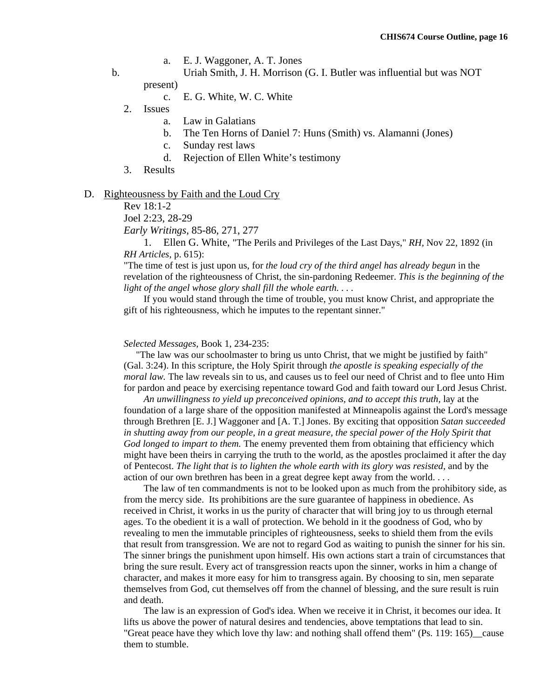- a. E. J. Waggoner, A. T. Jones
- b. Uriah Smith, J. H. Morrison (G. I. Butler was influential but was NOT
	- present)
		- c. E. G. White, W. C. White
	- 2. Issues
		- a. Law in Galatians
		- b. The Ten Horns of Daniel 7: Huns (Smith) vs. Alamanni (Jones)
		- c. Sunday rest laws
		- d. Rejection of Ellen White's testimony
	- 3. Results

#### D. Righteousness by Faith and the Loud Cry

Rev 18:1-2

Joel 2:23, 28-29

*Early Writings,* 85-86, 271, 277

 1. Ellen G. White, "The Perils and Privileges of the Last Days," *RH,* Nov 22, 1892 (in *RH Articles*, p. 615):

"The time of test is just upon us, for *the loud cry of the third angel has already begun* in the revelation of the righteousness of Christ, the sin-pardoning Redeemer. *This is the beginning of the light of the angel whose glory shall fill the whole earth. . . .*

 If you would stand through the time of trouble, you must know Christ, and appropriate the gift of his righteousness, which he imputes to the repentant sinner."

#### *Selected Messages,* Book 1, 234-235:

 "The law was our schoolmaster to bring us unto Christ, that we might be justified by faith" (Gal. 3:24). In this scripture, the Holy Spirit through *the apostle is speaking especially of the moral law.* The law reveals sin to us, and causes us to feel our need of Christ and to flee unto Him for pardon and peace by exercising repentance toward God and faith toward our Lord Jesus Christ.

*An unwillingness to yield up preconceived opinions, and to accept this truth,* lay at the foundation of a large share of the opposition manifested at Minneapolis against the Lord's message through Brethren [E. J.] Waggoner and [A. T.] Jones. By exciting that opposition *Satan succeeded*  in shutting away from our people, in a great measure, the special power of the Holy Spirit that *God longed to impart to them.* The enemy prevented them from obtaining that efficiency which might have been theirs in carrying the truth to the world, as the apostles proclaimed it after the day of Pentecost. *The light that is to lighten the whole earth with its glory was resisted,* and by the action of our own brethren has been in a great degree kept away from the world. . . .

 The law of ten commandments is not to be looked upon as much from the prohibitory side, as from the mercy side. Its prohibitions are the sure guarantee of happiness in obedience. As received in Christ, it works in us the purity of character that will bring joy to us through eternal ages. To the obedient it is a wall of protection. We behold in it the goodness of God, who by revealing to men the immutable principles of righteousness, seeks to shield them from the evils that result from transgression. We are not to regard God as waiting to punish the sinner for his sin. The sinner brings the punishment upon himself. His own actions start a train of circumstances that bring the sure result. Every act of transgression reacts upon the sinner, works in him a change of character, and makes it more easy for him to transgress again. By choosing to sin, men separate themselves from God, cut themselves off from the channel of blessing, and the sure result is ruin and death.

 The law is an expression of God's idea. When we receive it in Christ, it becomes our idea. It lifts us above the power of natural desires and tendencies, above temptations that lead to sin. "Great peace have they which love thy law: and nothing shall offend them" (Ps. 119: 165)\_\_cause them to stumble.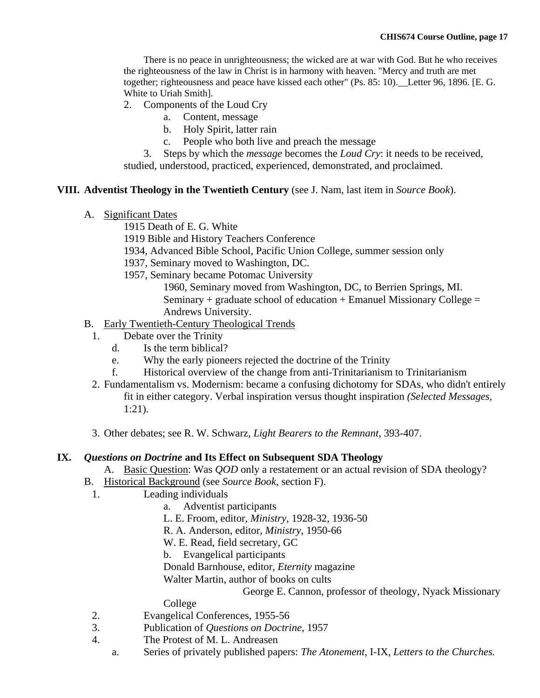There is no peace in unrighteousness; the wicked are at war with God. But he who receives the righteousness of the law in Christ is in harmony with heaven. "Mercy and truth are met together; righteousness and peace have kissed each other" (Ps. 85: 10).\_\_Letter 96, 1896. [E. G. White to Uriah Smith].

- 2. Components of the Loud Cry
	- a. Content, message
	- b. Holy Spirit, latter rain
	- c. People who both live and preach the message

 3. Steps by which the *message* becomes the *Loud Cry*: it needs to be received, studied, understood, practiced, experienced, demonstrated, and proclaimed.

### **VIII. Adventist Theology in the Twentieth Century** (see J. Nam, last item in *Source Book*).

- A. Significant Dates
	- 1915 Death of E. G. White
	- 1919 Bible and History Teachers Conference
	- 1934, Advanced Bible School, Pacific Union College, summer session only
	- 1937, Seminary moved to Washington, DC.
	- 1957, Seminary became Potomac University

1960, Seminary moved from Washington, DC, to Berrien Springs, MI. Seminary + graduate school of education + Emanuel Missionary College  $=$ Andrews University.

- B. Early Twentieth-Century Theological Trends
	- 1. Debate over the Trinity
		- d. Is the term biblical?
		- e. Why the early pioneers rejected the doctrine of the Trinity
		- f. Historical overview of the change from anti-Trinitarianism to Trinitarianism
	- 2. Fundamentalism vs. Modernism: became a confusing dichotomy for SDAs, who didn't entirely fit in either category. Verbal inspiration versus thought inspiration *(Selected Messages*, 1:21).
	- 3. Other debates; see R. W. Schwarz, *Light Bearers to the Remnant,* 393-407.

### **IX.** *Questions on Doctrine* **and Its Effect on Subsequent SDA Theology**

- A. Basic Question: Was *QOD* only a restatement or an actual revision of SDA theology?
- B. Historical Background (see *Source Book*, section F).
- 1. Leading individuals
	- a. Adventist participants
	- L. E. Froom, editor, *Ministry*, 1928-32, 1936-50
	- R. A. Anderson, editor, *Ministry*, 1950-66
	- W. E. Read, field secretary, GC
	- b. Evangelical participants
	- Donald Barnhouse, editor, *Eternity* magazine
	- Walter Martin, author of books on cults

# George E. Cannon, professor of theology, Nyack Missionary

# College

- 2. Evangelical Conferences, 1955-56
- 3. Publication of *Questions on Doctrine*, 1957
- 4. The Protest of M. L. Andreasen
	- a. Series of privately published papers: *The Atonement,* I-IX, *Letters to the Churches.*